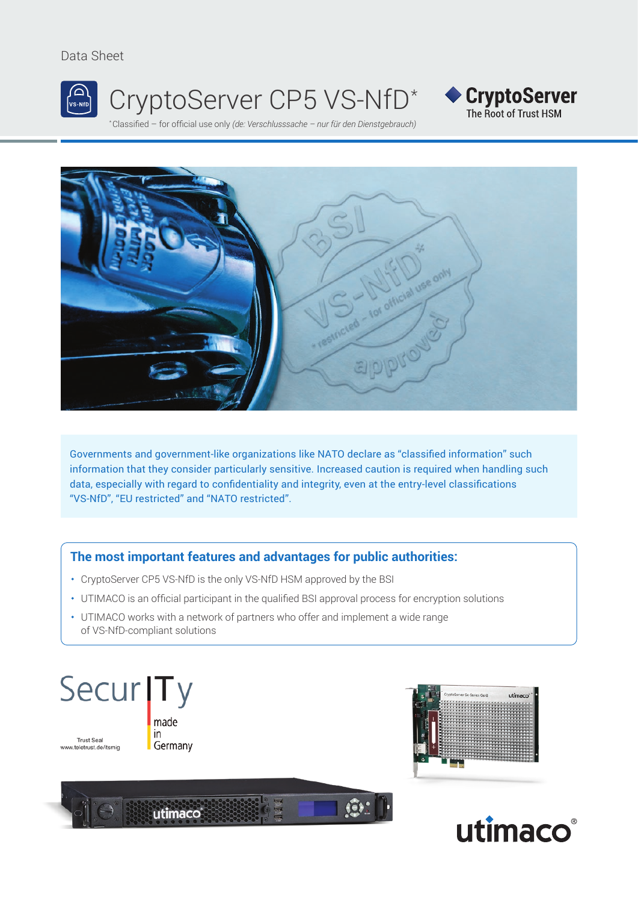#### Data Sheet



# CryptoServer CP5 VS-NfD\*





Governments and government-like organizations like NATO declare as "classified information" such information that they consider particularly sensitive. Increased caution is required when handling such data, especially with regard to confidentiality and integrity, even at the entry-level classifications "VS-NfD", "EU restricted" and "NATO restricted".

## **The most important features and advantages for public authorities:**

- CryptoServer CP5 VS-NfD is the only VS-NfD HSM approved by the BSI
- UTIMACO is an official participant in the qualified BSI approval process for encryption solutions
- UTIMACO works with a network of partners who offer and implement a wide range of VS-NfD-compliant solutions







◆ CryptoServer The Root of Trust HSM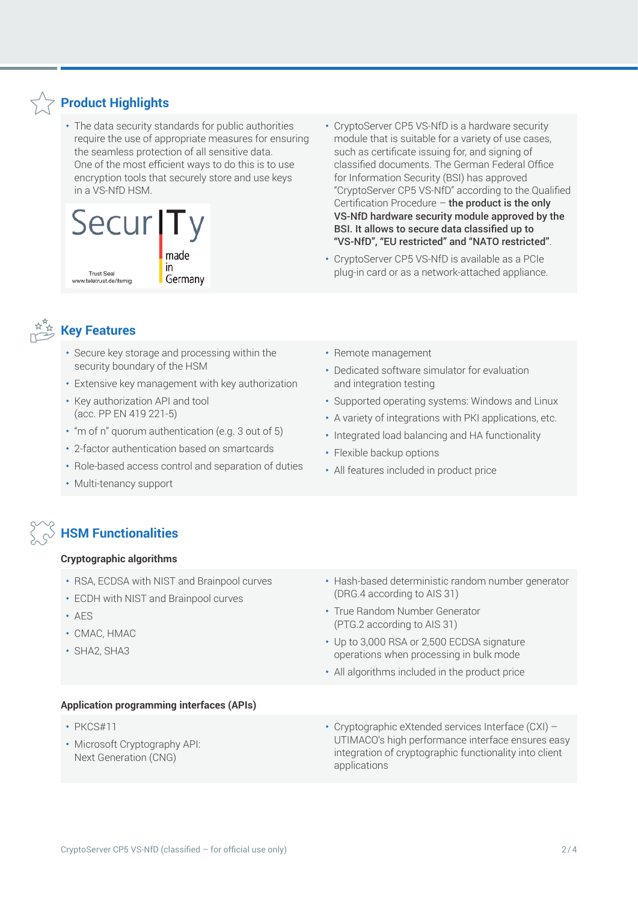# **Product Highlights**

 The data security standards for public authorities require the use of appropriate measures for ensuring the seamless protection of all sensitive data. One of the most efficient ways to do this is to use encryption tools that securely store and use keys in a VS-NfD HSM.



# **Key Features**

- Secure key storage and processing within the security boundary of the HSM
- Extensive key management with key authorization
- Key authorization API and tool (acc. PP EN 419 221-5)
- $\cdot$  "m of n" quorum authentication (e.g. 3 out of 5)
- 2-factor authentication based on smartcards
- Role-based access control and separation of duties
- Multi-tenancy support

# **HSM Functionalities**

#### **Cryptographic algorithms**

- RSA, ECDSA with NIST and Brainpool curves
- ECDH with NIST and Brainpool curves
- AES
- CMAC, HMAC
- SHA2, SHA3
- Hash-based deterministic random number generator (DRG.4 according to AIS 31)
- True Random Number Generator (PTG.2 according to AIS 31)
- Up to 3,000 RSA or 2,500 ECDSA signature operations when processing in bulk mode
- All algorithms included in the product price

#### **Application programming interfaces (APIs)**

- $\cdot$  PKCS#11
- Microsoft Cryptography API: Next Generation (CNG)

 Cryptographic eXtended services Interface (CXI) – UTIMACO's high performance interface ensures easy integration of cryptographic functionality into client applications

- 
- Remote management
- Dedicated software simulator for evaluation and integration testing

 CryptoServer CP5 VS-NfD is a hardware security module that is suitable for a variety of use cases, such as certificate issuing for, and signing of classified documents. The German Federal Office for Information Security (BSI) has approved

"CryptoServer CP5 VS-NfD" according to the Qualified Certification Procedure – the product is the only VS-NfD hardware security module approved by the BSI. It allows to secure data classified up to "VS-NfD", "EU restricted" and "NATO restricted". CryptoServer CP5 VS-NfD is available as a PCIe plug-in card or as a network-attached appliance.

- Supported operating systems: Windows and Linux
- A variety of integrations with PKI applications, etc.
- Integrated load balancing and HA functionality
- Flexible backup options
- All features included in product price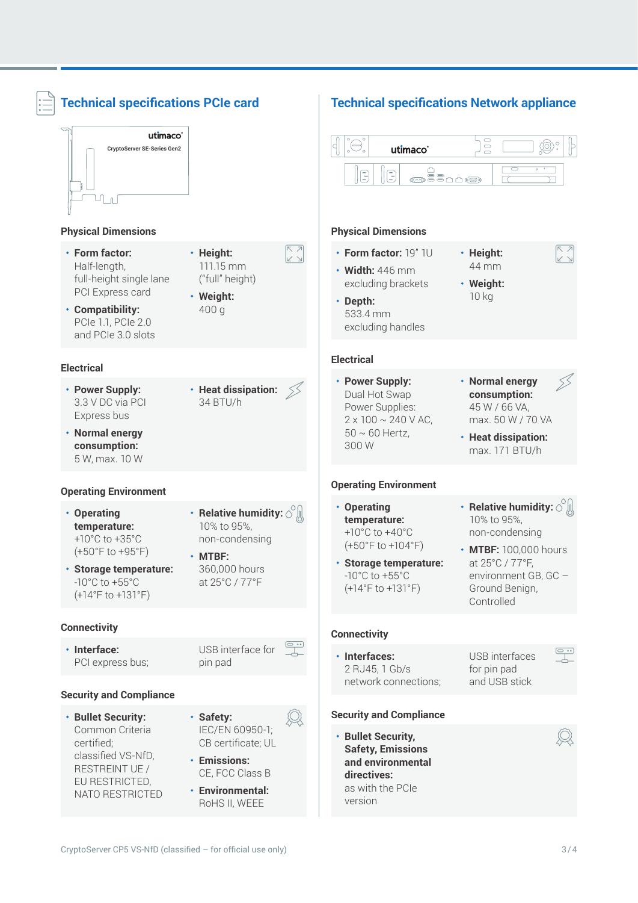| utimaco <sup>®</sup><br><b>CryptoServer SE-Series Gen2</b><br>$\mathbb{R}$                                                                                                        |                                                                                                                            |                                                                                                                                                                                                             | utimaco®<br>E<br>$\left(\frac{1}{n}\right)$                                                                                                                                       | $\Box$<br>$\qquad \qquad \qquad \Box$<br>$\Box$<br>$\Box$                                                                                                                      |
|-----------------------------------------------------------------------------------------------------------------------------------------------------------------------------------|----------------------------------------------------------------------------------------------------------------------------|-------------------------------------------------------------------------------------------------------------------------------------------------------------------------------------------------------------|-----------------------------------------------------------------------------------------------------------------------------------------------------------------------------------|--------------------------------------------------------------------------------------------------------------------------------------------------------------------------------|
| <b>Physical Dimensions</b><br>$\cdot$ Form factor:<br>Half-length,<br>full-height single lane<br>PCI Express card<br>• Compatibility:<br>PCIe 1.1, PCIe 2.0<br>and PCIe 3.0 slots | · Height:<br>111.15 mm<br>("full" height)<br>• Weight:<br>400 g                                                            | $\nabla$ $\nabla$<br>k 7                                                                                                                                                                                    | <b>Physical Dimensions</b><br>• Form factor: 19" 1U<br>$\cdot$ Width: 446 mm<br>excluding brackets<br>· Depth:<br>533.4 mm<br>excluding handles                                   | $\begin{array}{c} \hline \text{A} \\ \text{B} \end{array}$<br>· Height:<br>44 mm<br>• Weight:<br>10 kg                                                                         |
| <b>Electrical</b>                                                                                                                                                                 |                                                                                                                            |                                                                                                                                                                                                             | <b>Electrical</b>                                                                                                                                                                 |                                                                                                                                                                                |
| • Power Supply:<br>3.3 V DC via PCI<br>Express bus<br>• Normal energy<br>consumption:<br>5 W, max. 10 W                                                                           | • Heat dissipation: $\leq$<br>34 BTU/h                                                                                     |                                                                                                                                                                                                             | • Power Supply:<br>Dual Hot Swap<br>Power Supplies:<br>$2 \times 100 \sim 240 \text{ V AC}$<br>$50 \sim 60$ Hertz,<br>300W                                                        | • Normal energy<br>consumption:<br>45 W / 66 VA,<br>max. 50 W / 70 VA<br>• Heat dissipation:<br>max. 171 BTU/h                                                                 |
| <b>Operating Environment</b>                                                                                                                                                      |                                                                                                                            |                                                                                                                                                                                                             | <b>Operating Environment</b>                                                                                                                                                      |                                                                                                                                                                                |
| • Operating<br>temperature:<br>+10°C to +35°C<br>(+50°F to +95°F)<br>⋅ Storage temperature:<br>$-10^{\circ}$ C to $+55^{\circ}$ C<br>$(+14°F to +131°F)$                          | • Relative humidity: $\circ$<br>10% to 95%,<br>non-condensing<br>$·$ MTBF:<br>360,000 hours<br>at 25°C / 77°F              |                                                                                                                                                                                                             | • Operating<br>temperature:<br>+10 $^{\circ}$ C to +40 $^{\circ}$ C<br>$(+50°F to +104°F)$<br>· Storage temperature:<br>$-10^{\circ}$ C to $+55^{\circ}$ C<br>$(+14°F to +131°F)$ | • Relative humidity: $\circ$ $\mathbb{R}$<br>10% to 95%,<br>non-condensing<br>• MTBF: 100,000 hours<br>at 25°C / 77°F,<br>environment GB, GC -<br>Ground Benign,<br>Controlled |
| <b>Connectivity</b>                                                                                                                                                               |                                                                                                                            |                                                                                                                                                                                                             | <b>Connectivity</b>                                                                                                                                                               |                                                                                                                                                                                |
| · Interface:<br>PCI express bus;                                                                                                                                                  | USB interface for<br>pin pad                                                                                               | $\begin{tabular}{ c c } \hline \quad \quad & \quad \quad & \quad \quad \\ \hline \quad \quad & \quad \quad \\ \hline \quad \quad & \quad \quad \\ \hline \quad \quad & \quad \quad \\ \hline \end{tabular}$ | · Interfaces:<br>2 RJ45, 1 Gb/s<br>network connections;                                                                                                                           | $\begin{array}{c} \boxed{\circ} \ \cdots \\ \boxed{\cdot} \\ \boxed{\cdot \end{array}$<br>USB interfaces<br>for pin pad<br>and USB stick                                       |
| <b>Security and Compliance</b>                                                                                                                                                    |                                                                                                                            |                                                                                                                                                                                                             |                                                                                                                                                                                   |                                                                                                                                                                                |
| · Bullet Security:<br>Common Criteria<br>certified;<br>classified VS-NfD,<br>RESTREINT UE /<br>EU RESTRICTED,<br>NATO RESTRICTED                                                  | · Safety:<br>IEC/EN 60950-1;<br>CB certificate; UL<br>• Emissions:<br>CE, FCC Class B<br>• Environmental:<br>RoHS II, WEEE |                                                                                                                                                                                                             | <b>Security and Compliance</b><br>· Bullet Security,<br><b>Safety, Emissions</b><br>and environmental<br>directives:<br>as with the PCIe<br>version                               |                                                                                                                                                                                |

 $\overline{1}$